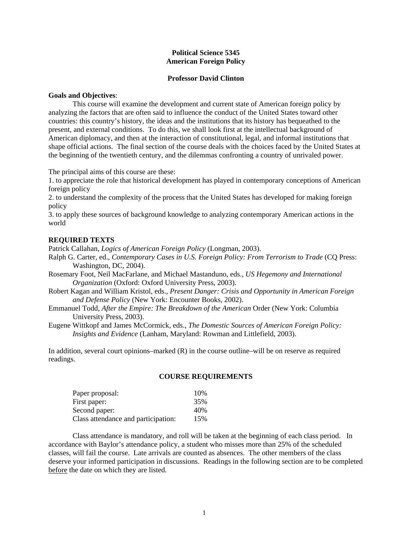# **Political Science 5345 American Foreign Policy**

### **Professor David Clinton**

#### **Goals and Objectives**:

 This course will examine the development and current state of American foreign policy by analyzing the factors that are often said to influence the conduct of the United States toward other countries: this country's history, the ideas and the institutions that its history has bequeathed to the present, and external conditions. To do this, we shall look first at the intellectual background of American diplomacy, and then at the interaction of constitutional, legal, and informal institutions that shape official actions. The final section of the course deals with the choices faced by the United States at the beginning of the twentieth century, and the dilemmas confronting a country of unrivaled power.

The principal aims of this course are these:

1. to appreciate the role that historical development has played in contemporary conceptions of American foreign policy

2. to understand the complexity of the process that the United States has developed for making foreign policy

3. to apply these sources of background knowledge to analyzing contemporary American actions in the world

## **REQUIRED TEXTS**

Patrick Callahan, *Logics of American Foreign Policy* (Longman, 2003).

- Ralph G. Carter, ed., *Contemporary Cases in U.S. Foreign Policy: From Terrorism to Trade* (CQ Press: Washington, DC, 2004).
- Rosemary Foot, Neil MacFarlane, and Michael Mastanduno, eds., *US Hegemony and International Organization* (Oxford: Oxford University Press, 2003).
- Robert Kagan and William Kristol, eds., *Present Danger: Crisis and Opportunity in American Foreign and Defense Policy* (New York: Encounter Books, 2002).
- Emmanuel Todd, *After the Empire: The Breakdown of the American* Order (New York: Columbia University Press, 2003).
- Eugene Wittkopf and James McCormick, eds., *The Domestic Sources of American Foreign Policy: Insights and Evidence* (Lanham, Maryland: Rowman and Littlefield, 2003).

In addition, several court opinions–marked  $(R)$  in the course outline–will be on reserve as required readings.

#### **COURSE REQUIREMENTS**

| Paper proposal:                     | 10% |
|-------------------------------------|-----|
| First paper:                        | 35% |
| Second paper:                       | 40% |
| Class attendance and participation: | 15% |

 Class attendance is mandatory, and roll will be taken at the beginning of each class period. In accordance with Baylor's attendance policy, a student who misses more than 25% of the scheduled classes, will fail the course. Late arrivals are counted as absences. The other members of the class deserve your informed participation in discussions. Readings in the following section are to be completed before the date on which they are listed.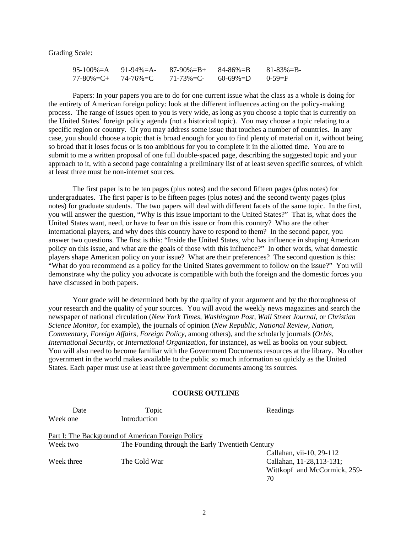Grading Scale:

| $95-100\% = A$ $91-94\% = A$    | $87-90\% = B + 84-86\% = B$ |          | $81 - 83\% = B$ |
|---------------------------------|-----------------------------|----------|-----------------|
| $77 - 80\% = C + 74 - 76\% = C$ | $71 - 73\% = C$             | 60-69%=D | $0 - 59 = F$    |

 Papers: In your papers you are to do for one current issue what the class as a whole is doing for the entirety of American foreign policy: look at the different influences acting on the policy-making process. The range of issues open to you is very wide, as long as you choose a topic that is currently on the United States' foreign policy agenda (not a historical topic). You may choose a topic relating to a specific region or country. Or you may address some issue that touches a number of countries. In any case, you should choose a topic that is broad enough for you to find plenty of material on it, without being so broad that it loses focus or is too ambitious for you to complete it in the allotted time. You are to submit to me a written proposal of one full double-spaced page, describing the suggested topic and your approach to it, with a second page containing a preliminary list of at least seven specific sources, of which at least three must be non-internet sources.

 The first paper is to be ten pages (plus notes) and the second fifteen pages (plus notes) for undergraduates. The first paper is to be fifteen pages (plus notes) and the second twenty pages (plus notes) for graduate students. The two papers will deal with different facets of the same topic. In the first, you will answer the question, "Why is this issue important to the United States?" That is, what does the United States want, need, or have to fear on this issue or from this country? Who are the other international players, and why does this country have to respond to them? In the second paper, you answer two questions. The first is this: "Inside the United States, who has influence in shaping American policy on this issue, and what are the goals of those with this influence?" In other words, what domestic players shape American policy on your issue? What are their preferences? The second question is this: "What do you recommend as a policy for the United States government to follow on the issue?" You will demonstrate why the policy you advocate is compatible with both the foreign and the domestic forces you have discussed in both papers.

 Your grade will be determined both by the quality of your argument and by the thoroughness of your research and the quality of your sources. You will avoid the weekly news magazines and search the newspaper of national circulation (*New York Times, Washington Post, Wall Street Journal,* or *Christian Science Monitor*, for example), the journals of opinion (*New Republic, National Review, Nation, Commentary, Foreign Affairs, Foreign Policy*, among others), and the scholarly journals (*Orbis, International Security,* or *International Organization*, for instance), as well as books on your subject. You will also need to become familiar with the Government Documents resources at the library. No other government in the world makes available to the public so much information so quickly as the United States. Each paper must use at least three government documents among its sources.

# **COURSE OUTLINE**

| Date       | Topic                                             | Readings                     |
|------------|---------------------------------------------------|------------------------------|
| Week one   | Introduction                                      |                              |
|            | Part I: The Background of American Foreign Policy |                              |
| Week two   | The Founding through the Early Twentieth Century  |                              |
|            |                                                   | Callahan, vii-10, 29-112     |
| Week three | The Cold War                                      | Callahan, 11-28, 113-131;    |
|            |                                                   | Wittkopf and McCormick, 259- |
|            |                                                   | 70                           |